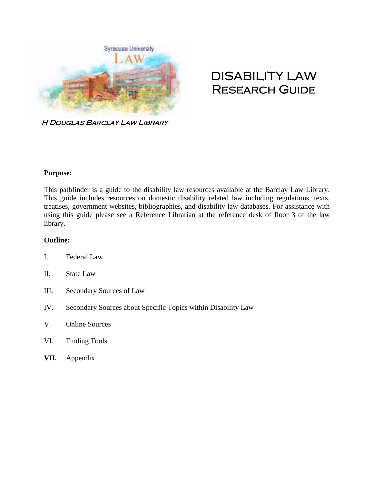

# DISABILITY LAW Research Guide

H Douglas Barclay Law Library

## **Purpose:**

This pathfinder is a guide to the disability law resources available at the Barclay Law Library. This guide includes resources on domestic disability related law including regulations, texts, treatises, government websites, bibliographies, and disability law databases. For assistance with using this guide please see a Reference Librarian at the reference desk of floor 3 of the law library.

#### **Outline:**

- I. Federal Law
- II. State Law
- III. Secondary Sources of Law
- IV. Secondary Sources about Specific Topics within Disability Law
- V. Online Sources
- VI. Finding Tools
- **VII.** Appendix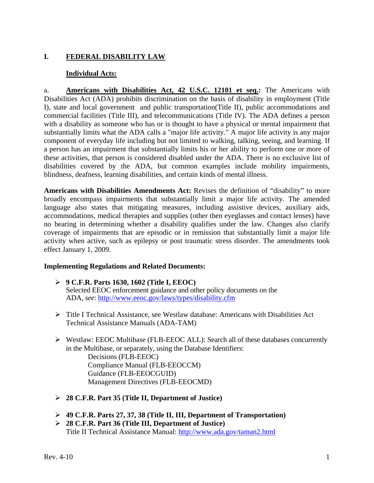## **I. FEDERAL DISABILITY LAW**

## **Individual Acts:**

a. **Americans with Disabilities Act, 42 U.S.C. 12101 et seq.:** The Americans with Disabilities Act (ADA) prohibits discrimination on the basis of disability in employment (Title I), state and local government and public transportation(Title II), public accommodations and commercial facilities (Title III), and telecommunications (Title IV). The ADA defines a person with a disability as someone who has or is thought to have a physical or mental impairment that substantially limits what the ADA calls a "major life activity." A major life activity is any major component of everyday life including but not limited to walking, talking, seeing, and learning. If a person has an impairment that substantially limits his or her ability to perform one or more of these activities, that person is considered disabled under the ADA. There is no exclusive list of disabilities covered by the ADA, but common examples include mobility impairments, blindness, deafness, learning disabilities, and certain kinds of mental illness.

**Americans with Disabilities Amendments Act:** Revises the definition of "disability" to more broadly encompass impairments that substantially limit a major life activity. The amended language also states that mitigating measures, including assistive devices, auxiliary aids, accommodations, medical therapies and supplies (other then eyeglasses and contact lenses) have no bearing in determining whether a disability qualifies under the law. Changes also clarify coverage of impairments that are episodic or in remission that substantially limit a major life activity when active, such as epilepsy or post traumatic stress disorder. The amendments took effect January 1, 2009.

#### **Implementing Regulations and Related Documents:**

- **9 C.F.R. Parts 1630, 1602 (Title I, EEOC)**  Selected EEOC enforcement guidance and other policy documents on the ADA, *see*: http://www.eeoc.gov/laws/types/disability.cfm
- $\triangleright$  Title I Technical Assistance, see Westlaw database: Americans with Disabilities Act Technical Assistance Manuals (ADA-TAM)
- $\triangleright$  Westlaw: EEOC Multibase (FLB-EEOC ALL): Search all of these databases concurrently in the Multibase, or separately, using the Database Identifiers: Decisions (FLB-EEOC) Compliance Manual (FLB-EEOCCM) Guidance (FLB-EEOCGUID) Management Directives (FLB-EEOCMD)
- **28 C.F.R. Part 35 (Title II, Department of Justice)**
- **49 C.F.R. Parts 27, 37, 38 (Title II, III, Department of Transportation)**
- **28 C.F.R. Part 36 (Title III, Department of Justice)**  Title II Technical Assistance Manual: http://www.ada.gov/taman2.html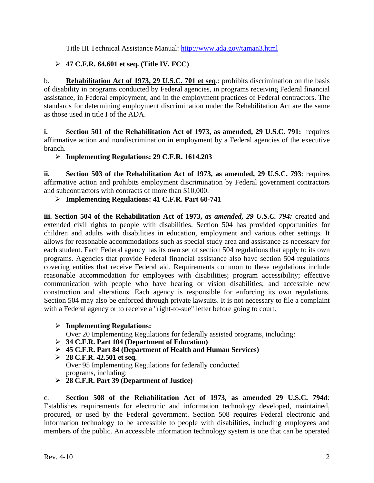Title III Technical Assistance Manual: http://www.ada.gov/taman3.html

# **47 C.F.R. 64.601 et seq. (Title IV, FCC)**

b. **Rehabilitation Act of 1973, 29 U.S.C. 701 et seq**.: prohibits discrimination on the basis of disability in programs conducted by Federal agencies, in programs receiving Federal financial assistance, in Federal employment, and in the employment practices of Federal contractors. The standards for determining employment discrimination under the Rehabilitation Act are the same as those used in title I of the ADA.

**i.** Section 501 of the Rehabilitation Act of 1973, as amended, 29 U.S.C. 791: requires affirmative action and nondiscrimination in employment by a Federal agencies of the executive branch.

**Implementing Regulations: 29 C.F.R. 1614.203** 

**ii. Section 503 of the Rehabilitation Act of 1973, as amended, 29 U.S.C. 793**: requires affirmative action and prohibits employment discrimination by Federal government contractors and subcontractors with contracts of more than \$10,000.

**Implementing Regulations: 41 C.F.R. Part 60-741** 

iii. Section 504 of the Rehabilitation Act of 1973, *as amended*, 29 U.S.C. 794: created and extended civil rights to people with disabilities. Section 504 has provided opportunities for children and adults with disabilities in education, employment and various other settings. It allows for reasonable accommodations such as special study area and assistance as necessary for each student. Each Federal agency has its own set of section 504 regulations that apply to its own programs. Agencies that provide Federal financial assistance also have section 504 regulations covering entities that receive Federal aid. Requirements common to these regulations include reasonable accommodation for employees with disabilities; program accessibility; effective communication with people who have hearing or vision disabilities; and accessible new construction and alterations. Each agency is responsible for enforcing its own regulations. Section 504 may also be enforced through private lawsuits. It is not necessary to file a complaint with a Federal agency or to receive a "right-to-sue" letter before going to court.

**Implementing Regulations:** 

Over 20 Implementing Regulations for federally assisted programs, including:

- **34 C.F.R. Part 104 (Department of Education)**
- **45 C.F.R. Part 84 (Department of Health and Human Services)**
- **28 C.F.R. 42.501 et seq.**  Over 95 Implementing Regulations for federally conducted programs, including:
- **28 C.F.R. Part 39 (Department of Justice)**

c. **Section 508 of the Rehabilitation Act of 1973, as amended 29 U.S.C. 794d**: Establishes requirements for electronic and information technology developed, maintained, procured, or used by the Federal government. Section 508 requires Federal electronic and information technology to be accessible to people with disabilities, including employees and members of the public. An accessible information technology system is one that can be operated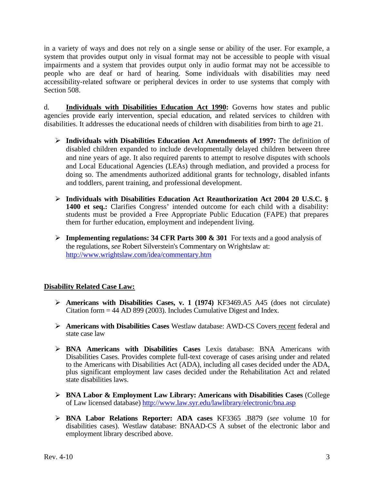in a variety of ways and does not rely on a single sense or ability of the user. For example, a system that provides output only in visual format may not be accessible to people with visual impairments and a system that provides output only in audio format may not be accessible to people who are deaf or hard of hearing. Some individuals with disabilities may need accessibility-related software or peripheral devices in order to use systems that comply with Section 508.

d. **Individuals with Disabilities Education Act 1990:** Governs how states and public agencies provide early intervention, special education, and related services to children with disabilities. It addresses the educational needs of children with disabilities from birth to age 21.

- **Individuals with Disabilities Education Act Amendments of 1997:** The definition of disabled children expanded to include developmentally delayed children between three and nine years of age. It also required parents to attempt to resolve disputes with schools and Local Educational Agencies (LEAs) through mediation, and provided a process for doing so. The amendments authorized additional grants for technology, disabled infants and toddlers, parent training, and professional development.
- **Individuals with Disabilities Education Act Reauthorization Act 2004 20 U.S.C. § 1400 et seq.:** Clarifies Congress' intended outcome for each child with a disability: students must be provided a Free Appropriate Public Education (FAPE) that prepares them for further education, employment and independent living.
- **Implementing regulations: 34 CFR Parts 300 & 301** For texts and a good analysis of the regulations, *see* Robert Silverstein's Commentary on Wrightslaw at: http://www.wrightslaw.com/idea/commentary.htm

# **Disability Related Case Law:**

- **Americans with Disabilities Cases, v. 1 (1974)** KF3469.A5 A45 (does not circulate) Citation form = 44 AD 899 (2003). Includes Cumulative Digest and Index.
- **Americans with Disabilities Cases** Westlaw database: AWD-CS Covers recent federal and state case law
- **BNA Americans with Disabilities Cases** Lexis database: BNA Americans with Disabilities Cases. Provides complete full-text coverage of cases arising under and related to the Americans with Disabilities Act (ADA), including all cases decided under the ADA, plus significant employment law cases decided under the Rehabilitation Act and related state disabilities laws.
- **BNA Labor & Employment Law Library: Americans with Disabilities Cases** (College of Law licensed database) http://www.law.syr.edu/lawlibrary/electronic/bna.asp
- **BNA Labor Relations Reporter: ADA cases** KF3365 .B879 (*see* volume 10 for disabilities cases). Westlaw database: BNAAD-CS A subset of the electronic labor and employment library described above.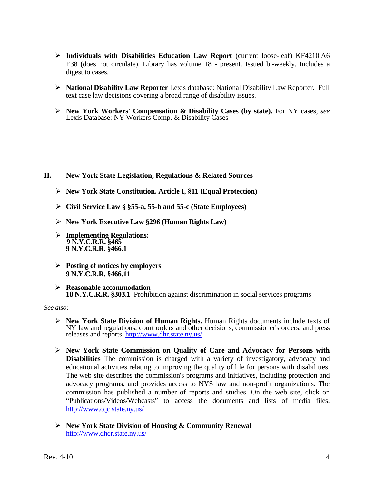- **Individuals with Disabilities Education Law Report** (current loose-leaf) KF4210.A6 E38 (does not circulate). Library has volume 18 - present. Issued bi-weekly. Includes a digest to cases.
- **National Disability Law Reporter** Lexis database: National Disability Law Reporter. Full text case law decisions covering a broad range of disability issues.
- **New York Workers' Compensation & Disability Cases (by state).** For NY cases, *see* Lexis Database: NY Workers Comp. & Disability Cases

## **II. New York State Legislation, Regulations & Related Sources**

- **New York State Constitution, Article I, §11 (Equal Protection)**
- **Civil Service Law § §55-a, 55-b and 55-c (State Employees)**
- **New York Executive Law §296 (Human Rights Law)**
- **Implementing Regulations: 9 N.Y.C.R.R. §465 9 N.Y.C.R.R. §466.1**
- **Posting of notices by employers 9 N.Y.C.R.R. §466.11**
- **Reasonable accommodation 18 N.Y.C.R.R. §303.1** Prohibition against discrimination in social services programs

#### *See also:*

- **New York State Division of Human Rights.** Human Rights documents include texts of NY law and regulations, court orders and other decisions, commissioner's orders, and press releases and reports. http://www.dhr.state.ny.us/
- **New York State Commission on Quality of Care and Advocacy for Persons with Disabilities** The commission is charged with a variety of investigatory, advocacy and educational activities relating to improving the quality of life for persons with disabilities. The web site describes the commission's programs and initiatives, including protection and advocacy programs, and provides access to NYS law and non-profit organizations. The commission has published a number of reports and studies. On the web site, click on "Publications/Videos/Webcasts" to access the documents and lists of media files. http://www.cqc.state.ny.us/
- **New York State Division of Housing & Community Renewal**  http://www.dhcr.state.ny.us/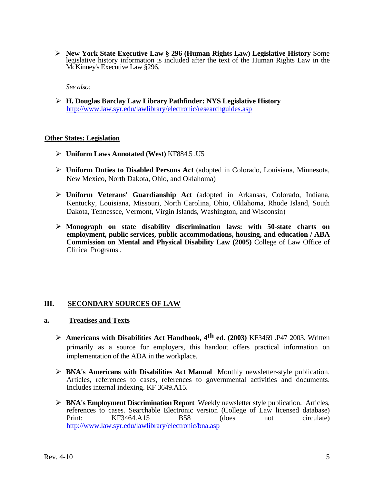**New York State Executive Law § 296 (Human Rights Law) Legislative History** Some legislative history information is included after the text of the Human Rights Law in the McKinney's Executive Law §296.

*See also:* 

 **H. Douglas Barclay Law Library Pathfinder: NYS Legislative History**  http://www.law.syr.edu/lawlibrary/electronic/researchguides.asp

## **Other States: Legislation**

- **Uniform Laws Annotated (West)** KF884.5 .U5
- **Uniform Duties to Disabled Persons Act** (adopted in Colorado, Louisiana, Minnesota, New Mexico, North Dakota, Ohio, and Oklahoma)
- **Uniform Veterans' Guardianship Act** (adopted in Arkansas, Colorado, Indiana, Kentucky, Louisiana, Missouri, North Carolina, Ohio, Oklahoma, Rhode Island, South Dakota, Tennessee, Vermont, Virgin Islands, Washington, and Wisconsin)
- **Monograph on state disability discrimination laws: with 50-state charts on employment, public services, public accommodations, housing, and education / ABA Commission on Mental and Physical Disability Law (2005)** College of Law Office of Clinical Programs .

## **III. SECONDARY SOURCES OF LAW**

#### **a. Treatises and Texts**

- **Americans with Disabilities Act Handbook, 4th ed. (2003)** KF3469 .P47 2003. Written primarily as a source for employers, this handout offers practical information on implementation of the ADA in the workplace.
- **BNA's Americans with Disabilities Act Manual** Monthly newsletter-style publication. Articles, references to cases, references to governmental activities and documents. Includes internal indexing. KF 3649.A15.
- **BNA's Employment Discrimination Report** Weekly newsletter style publication. Articles, references to cases. Searchable Electronic version (College of Law licensed database) Print: KF3464.A15 B58 (does not circulate) http://www.law.syr.edu/lawlibrary/electronic/bna.asp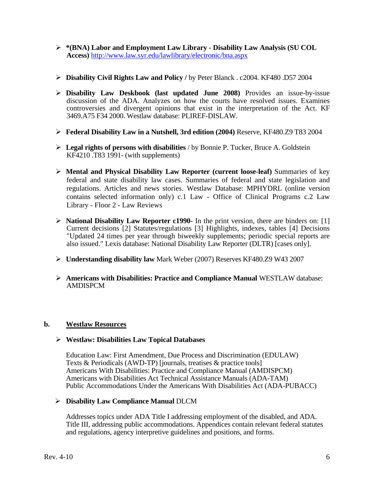- **\*(BNA) Labor and Employment Law Library Disability Law Analysis (SU COL Access)** http://www.law.syr.edu/lawlibrary/electronic/bna.aspx
- **Disability Civil Rights Law and Policy /** by Peter Blanck . c2004. KF480 .D57 2004
- **Disability Law Deskbook (last updated June 2008)** Provides an issue-by-issue discussion of the ADA. Analyzes on how the courts have resolved issues. Examines controversies and divergent opinions that exist in the interpretation of the Act. KF 3469.A75 F34 2000. Westlaw database: PLIREF-DISLAW.
- **Federal Disability Law in a Nutshell, 3rd edition (2004)** Reserve, KF480.Z9 T83 2004
- **Legal rights of persons with disabilities** / by Bonnie P. Tucker, Bruce A. Goldstein KF4210 .T83 1991- (with supplements)
- **Mental and Physical Disability Law Reporter (current loose-leaf)** Summaries of key federal and state disability law cases. Summaries of federal and state legislation and regulations. Articles and news stories. Westlaw Database: MPHYDRL (online version contains selected information only) c.1 Law - Office of Clinical Programs c.2 Law Library - Floor 2 - Law Reviews
- **National Disability Law Reporter c1990-** In the print version, there are binders on: [1] Current decisions [2] Statutes/regulations [3] Highlights, indexes, tables [4] Decisions "Updated 24 times per year through biweekly supplements; periodic special reports are also issued." Lexis database: National Disability Law Reporter (DLTR) [cases only].
- **Understanding disability law** Mark Weber (2007) Reserves KF480.Z9 W43 2007
- **Americans with Disabilities: Practice and Compliance Manual** WESTLAW database: AMDISPCM

## **b. Westlaw Resources**

#### **Westlaw: Disabilities Law Topical Databases**

Education Law: First Amendment, Due Process and Discrimination (EDULAW) Texts & Periodicals (AWD-TP) [journals, treatises & practice tools] Americans With Disabilities: Practice and Compliance Manual (AMDISPCM) Americans with Disabilities Act Technical Assistance Manuals (ADA-TAM) Public Accommodations Under the Americans With Disabilities Act (ADA-PUBACC)

#### **Disability Law Compliance Manual** DLCM

Addresses topics under ADA Title I addressing employment of the disabled, and ADA. Title III, addressing public accommodations. Appendices contain relevant federal statutes and regulations, agency interpretive guidelines and positions, and forms.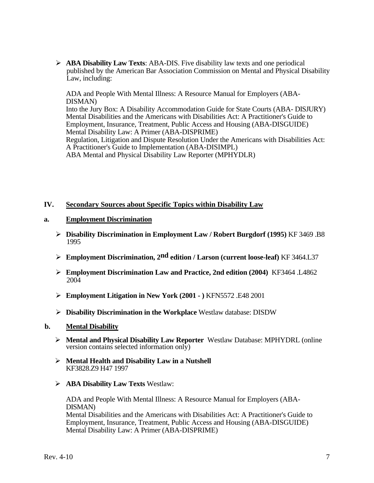**ABA Disability Law Texts**: ABA-DIS. Five disability law texts and one periodical published by the American Bar Association Commission on Mental and Physical Disability Law, including:

ADA and People With Mental Illness: A Resource Manual for Employers (ABA-DISMAN) Into the Jury Box: A Disability Accommodation Guide for State Courts (ABA- DISJURY) Mental Disabilities and the Americans with Disabilities Act: A Practitioner's Guide to Employment, Insurance, Treatment, Public Access and Housing (ABA-DISGUIDE) Mental Disability Law: A Primer (ABA-DISPRIME) Regulation, Litigation and Dispute Resolution Under the Americans with Disabilities Act: A Practitioner's Guide to Implementation (ABA-DISIMPL) ABA Mental and Physical Disability Law Reporter (MPHYDLR)

#### **IV. Secondary Sources about Specific Topics within Disability Law**

#### **a. Employment Discrimination**

- **Disability Discrimination in Employment Law / Robert Burgdorf (1995)** KF 3469 .B8 1995
- **Employment Discrimination, 2nd edition / Larson (current loose-leaf)** KF 3464.L37
- **Employment Discrimination Law and Practice, 2nd edition (2004)** KF3464 .L4862 2004
- **Employment Litigation in New York (2001 )** KFN5572 .E48 2001
- **Disability Discrimination in the Workplace** Westlaw database: DISDW

#### **b. Mental Disability**

- **Mental and Physical Disability Law Reporter** Westlaw Database: MPHYDRL (online version contains selected information only)
- **Mental Health and Disability Law in a Nutshell**  KF3828.Z9 H47 1997
- **ABA Disability Law Texts** Westlaw:

ADA and People With Mental Illness: A Resource Manual for Employers (ABA-DISMAN) Mental Disabilities and the Americans with Disabilities Act: A Practitioner's Guide to Employment, Insurance, Treatment, Public Access and Housing (ABA-DISGUIDE) Mental Disability Law: A Primer (ABA-DISPRIME)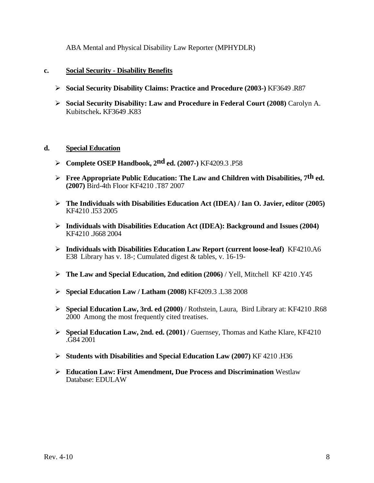ABA Mental and Physical Disability Law Reporter (MPHYDLR)

## **c. Social Security - Disability Benefits**

- **Social Security Disability Claims: Practice and Procedure (2003-)** KF3649 .R87
- **Social Security Disability: Law and Procedure in Federal Court (2008)** Carolyn A. Kubitschek**.** KF3649 .K83

## **d. Special Education**

- **Complete OSEP Handbook, 2nd ed. (2007-)** KF4209.3 .P58
- **Free Appropriate Public Education: The Law and Children with Disabilities, 7th ed. (2007)** Bird-4th Floor KF4210 .T87 2007
- **The Individuals with Disabilities Education Act (IDEA) / Ian O. Javier, editor (2005)**  KF4210 .I53 2005
- **Individuals with Disabilities Education Act (IDEA): Background and Issues (2004)**  KF4210 .J668 2004
- **Individuals with Disabilities Education Law Report (current loose-leaf)** KF4210.A6 E38 Library has v. 18-; Cumulated digest & tables, v. 16-19-
- **The Law and Special Education, 2nd edition (2006)** / Yell, Mitchell KF 4210 .Y45
- **Special Education Law / Latham (2008)** KF4209.3 .L38 2008
- **Special Education Law, 3rd. ed (2000)** / Rothstein, Laura, Bird Library at: KF4210 .R68 2000 Among the most frequently cited treatises.
- **Special Education Law, 2nd. ed. (2001)** / Guernsey, Thomas and Kathe Klare, KF4210 .G84 2001
- **Students with Disabilities and Special Education Law (2007)** KF 4210 .H36
- **Education Law: First Amendment, Due Process and Discrimination** Westlaw Database: EDULAW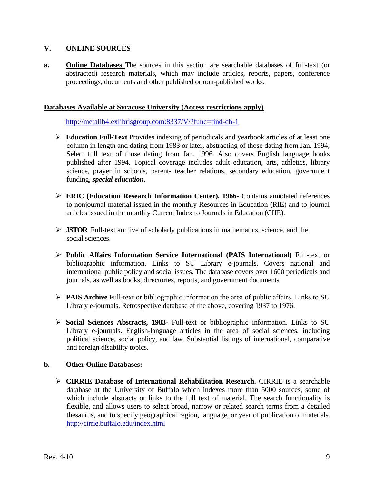## **V. ONLINE SOURCES**

**a. Online Databases** The sources in this section are searchable databases of full-text (or abstracted) research materials, which may include articles, reports, papers, conference proceedings, documents and other published or non-published works.

#### **Databases Available at Syracuse University (Access restrictions apply)**

http://metalib4.exlibrisgroup.com:8337/V/?func=find-db-1

- **Education Full-Text** Provides indexing of periodicals and yearbook articles of at least one column in length and dating from 1983 or later, abstracting of those dating from Jan. 1994, Select full text of those dating from Jan. 1996. Also covers English language books published after 1994. Topical coverage includes adult education, arts, athletics, library science, prayer in schools, parent- teacher relations, secondary education, government funding, *special education*.
- **ERIC (Education Research Information Center), 1966-** Contains annotated references to nonjournal material issued in the monthly Resources in Education (RIE) and to journal articles issued in the monthly Current Index to Journals in Education (CIJE).
- **JSTOR** Full-text archive of scholarly publications in mathematics, science, and the social sciences.
- **Public Affairs Information Service International (PAIS International)** Full-text or bibliographic information. Links to SU Library e-journals. Covers national and international public policy and social issues. The database covers over 1600 periodicals and journals, as well as books, directories, reports, and government documents.
- **PAIS Archive** Full-text or bibliographic information the area of public affairs. Links to SU Library e-journals. Retrospective database of the above, covering 1937 to 1976.
- **Social Sciences Abstracts, 1983-** Full-text or bibliographic information. Links to SU Library e-journals. English-language articles in the area of social sciences, including political science, social policy, and law. Substantial listings of international, comparative and foreign disability topics.

#### **b. Other Online Databases:**

 **CIRRIE Database of International Rehabilitation Research.** CIRRIE is a searchable database at the University of Buffalo which indexes more than 5000 sources, some of which include abstracts or links to the full text of material. The search functionality is flexible, and allows users to select broad, narrow or related search terms from a detailed thesaurus, and to specify geographical region, language, or year of publication of materials. http://cirrie.buffalo.edu/index.html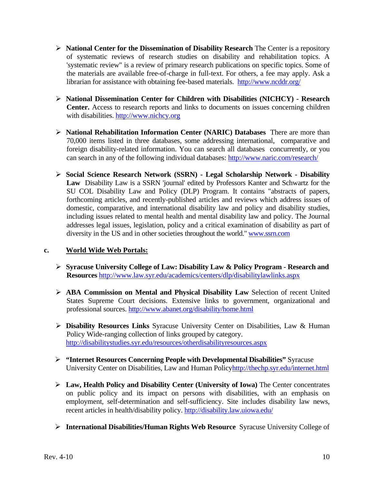- **National Center for the Dissemination of Disability Research** The Center is a repository of systematic reviews of research studies on disability and rehabilitation topics. A 'systematic review" is a review of primary research publications on specific topics. Some of the materials are available free-of-charge in full-text. For others, a fee may apply. Ask a librarian for assistance with obtaining fee-based materials. http://www.ncddr.org/
- **National Dissemination Center for Children with Disabilities (NICHCY) Research Center.** Access to research reports and links to documents on issues concerning children with disabilities. http://www.nichcy.org
- **National Rehabilitation Information Center (NARIC) Databases** There are more than 70,000 items listed in three databases, some addressing international, comparative and foreign disability-related information. You can search all databases concurrently, or you can search in any of the following individual databases: http://www.naric.com/research/
- **Social Science Research Network (SSRN) Legal Scholarship Network Disability Law** Disability Law is a SSRN 'journal' edited by Professors Kanter and Schwartz for the SU COL Disability Law and Policy (DLP) Program. It contains "abstracts of papers, forthcoming articles, and recently-published articles and reviews which address issues of domestic, comparative, and international disability law and policy and disability studies, including issues related to mental health and mental disability law and policy. The Journal addresses legal issues, legislation, policy and a critical examination of disability as part of diversity in the US and in other societies throughout the world." www.ssrn.com

## **c. World Wide Web Portals:**

- **Syracuse University College of Law: Disability Law & Policy Program Research and Resources** http://www.law.syr.edu/academics/centers/dlp/disabilitylawlinks.aspx
- **ABA Commission on Mental and Physical Disability Law** Selection of recent United States Supreme Court decisions. Extensive links to government, organizational and professional sources. http://www.abanet.org/disability/home.html
- **Disability Resources Links** Syracuse University Center on Disabilities, Law & Human Policy Wide-ranging collection of links grouped by category. http://disabilitystudies.syr.edu/resources/otherdisabilityresources.aspx
- **"Internet Resources Concerning People with Developmental Disabilities"** Syracuse University Center on Disabilities, Law and Human Policyhttp://thechp.syr.edu/internet.html
- **Law, Health Policy and Disability Center (University of Iowa)** The Center concentrates on public policy and its impact on persons with disabilities, with an emphasis on employment, self-determination and self-sufficiency. Site includes disability law news, recent articles in health/disability policy. http://disability.law.uiowa.edu/
- **International Disabilities/Human Rights Web Resource** Syracuse University College of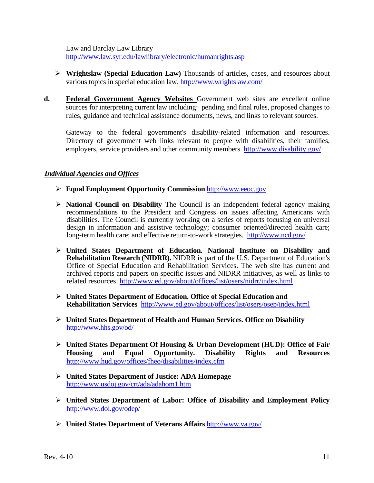Law and Barclay Law Library http://www.law.syr.edu/lawlibrary/electronic/humanrights.asp

- **Wrightslaw (Special Education Law)** Thousands of articles, cases, and resources about various topics in special education law. http://www.wrightslaw.com/
- **d. Federal Government Agency Websites** Government web sites are excellent online sources for interpreting current law including: pending and final rules, proposed changes to rules, guidance and technical assistance documents, news, and links to relevant sources.

Gateway to the federal government's disability-related information and resources. Directory of government web links relevant to people with disabilities, their families, employers, service providers and other community members. http://www.disability.gov/

## *Individual Agencies and Offices*

- **Equal Employment Opportunity Commission** http://www.eeoc.gov
- **National Council on Disability** The Council is an independent federal agency making recommendations to the President and Congress on issues affecting Americans with disabilities. The Council is currently working on a series of reports focusing on universal design in information and assistive technology; consumer oriented/directed health care; long-term health care; and effective return-to-work strategies. http://www.ncd.gov/
- **United States Department of Education. National Institute on Disability and Rehabilitation Research (NIDRR).** NIDRR is part of the U.S. Department of Education's Office of Special Education and Rehabilitation Services. The web site has current and archived reports and papers on specific issues and NIDRR initiatives, as well as links to related resources. http://www.ed.gov/about/offices/list/osers/nidrr/index.html
- **United States Department of Education. Office of Special Education and Rehabilitation Services** http://www.ed.gov/about/offices/list/osers/osep/index.html
- **United States Department of Health and Human Services. Office on Disability**  http://www.hhs.gov/od/
- **United States Department Of Housing & Urban Development (HUD): Office of Fair Housing and Equal Opportunity. Disability Rights and Resources**  http://www.hud.gov/offices/fheo/disabilities/index.cfm
- **United States Department of Justice: ADA Homepage**  http://www.usdoj.gov/crt/ada/adahom1.htm
- **United States Department of Labor: Office of Disability and Employment Policy**  http://www.dol.gov/odep/
- **United States Department of Veterans Affairs** http://www.va.gov/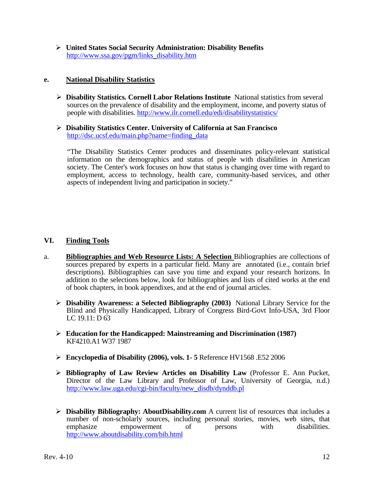**United States Social Security Administration: Disability Benefits**  http://www.ssa.gov/pgm/links\_disability.htm

#### **e. National Disability Statistics**

- **Disability Statistics. Cornell Labor Relations Institute** National statistics from several sources on the prevalence of disability and the employment, income, and poverty status of people with disabilities. http://www.ilr.cornell.edu/edi/disabilitystatistics/
- **Disability Statistics Center. University of California at San Francisco**  http://dsc.ucsf.edu/main.php?name=finding\_data

"The Disability Statistics Center produces and disseminates policy-relevant statistical information on the demographics and status of people with disabilities in American society. The Center's work focuses on how that status is changing over time with regard to employment, access to technology, health care, community-based services, and other aspects of independent living and participation in society."

## **VI. Finding Tools**

- a. **Bibliographies and Web Resource Lists: A Selection** Bibliographies are collections of sources prepared by experts in a particular field. Many are annotated (i.e., contain brief descriptions). Bibliographies can save you time and expand your research horizons. In addition to the selections below, look for bibliographies and lists of cited works at the end of book chapters, in book appendixes, and at the end of journal articles.
	- **Disability Awareness: a Selected Bibliography (2003)** National Library Service for the Blind and Physically Handicapped, Library of Congress Bird-Govt Info-USA, 3rd Floor LC 19.11: D 63
	- **Education for the Handicapped: Mainstreaming and Discrimination (1987)**  KF4210.A1 W37 1987
	- **Encyclopedia of Disability (2006), vols. 1- 5** Reference HV1568 .E52 2006
	- **Bibliography of Law Review Articles on Disability Law** (Professor E. Ann Pucket, Director of the Law Library and Professor of Law, University of Georgia, n.d.) http://www.law.uga.edu/cgi-bin/faculty/new\_disdb/dynddb.pl
	- **Disability Bibliography: AboutDisability.com** A current list of resources that includes a number of non-scholarly sources, including personal stories, movies, web sites, that emphasize empowerment of persons with disabilities. emphasize empowerment of persons with http://www.aboutdisability.com/bib.html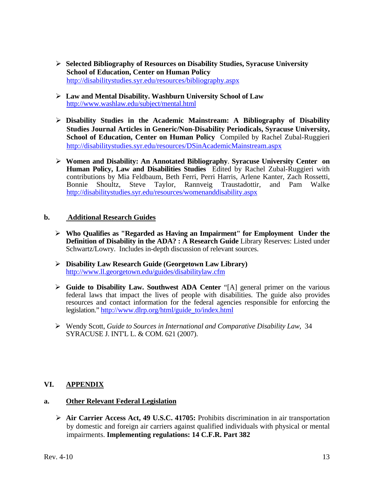- **Selected Bibliography of Resources on Disability Studies, Syracuse University School of Education, Center on Human Policy**  http://disabilitystudies.syr.edu/resources/bibliography.aspx
- **Law and Mental Disability. Washburn University School of Law**  http://www.washlaw.edu/subject/mental.html
- **Disability Studies in the Academic Mainstream: A Bibliography of Disability Studies Journal Articles in Generic/Non-Disability Periodicals, Syracuse University, School of Education, Center on Human Policy** Compiled by Rachel Zubal-Ruggieri http://disabilitystudies.syr.edu/resources/DSinAcademicMainstream.aspx
- **Women and Disability: An Annotated Bibliography**. **Syracuse University Center on Human Policy, Law and Disabilities Studies** Edited by Rachel Zubal-Ruggieri with contributions by Mia Feldbaum, Beth Ferri, Perri Harris, Arlene Kanter, Zach Rossetti, Bonnie Shoultz, Steve Taylor, Rannveig Traustadottir, and Pam Walke http://disabilitystudies.syr.edu/resources/womenanddisability.aspx

## **b. Additional Research Guides**

- **Who Qualifies as "Regarded as Having an Impairment" for Employment Under the Definition of Disability in the ADA? : A Research Guide Library Reserves: Listed under** Schwartz/Lowry. Includes in-depth discussion of relevant sources.
- **Disability Law Research Guide (Georgetown Law Library)**  http://www.ll.georgetown.edu/guides/disabilitylaw.cfm
- **Guide to Disability Law. Southwest ADA Center** "[A] general primer on the various federal laws that impact the lives of people with disabilities. The guide also provides resources and contact information for the federal agencies responsible for enforcing the legislation." http://www.dlrp.org/html/guide\_to/index.html
- Wendy Scott, *Guide to Sources in International and Comparative Disability Law*, 34 SYRACUSE J. INT'L L. & COM. 621 (2007).

## **VI. APPENDIX**

## **a. Other Relevant Federal Legislation**

 **Air Carrier Access Act, 49 U.S.C. 41705:** Prohibits discrimination in air transportation by domestic and foreign air carriers against qualified individuals with physical or mental impairments. **Implementing regulations: 14 C.F.R. Part 382**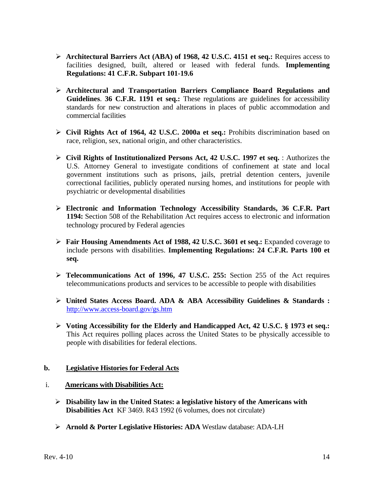- **Architectural Barriers Act (ABA) of 1968, 42 U.S.C. 4151 et seq.:** Requires access to facilities designed, built, altered or leased with federal funds. **Implementing Regulations: 41 C.F.R. Subpart 101-19.6**
- **Architectural and Transportation Barriers Compliance Board Regulations and Guidelines**. **36 C.F.R. 1191 et seq.:** These regulations are guidelines for accessibility standards for new construction and alterations in places of public accommodation and commercial facilities
- **Civil Rights Act of 1964, 42 U.S.C. 2000a et seq.:** Prohibits discrimination based on race, religion, sex, national origin, and other characteristics.
- **Civil Rights of Institutionalized Persons Act, 42 U.S.C. 1997 et seq.** : Authorizes the U.S. Attorney General to investigate conditions of confinement at state and local government institutions such as prisons, jails, pretrial detention centers, juvenile correctional facilities, publicly operated nursing homes, and institutions for people with psychiatric or developmental disabilities
- **Electronic and Information Technology Accessibility Standards, 36 C.F.R. Part 1194:** Section 508 of the Rehabilitation Act requires access to electronic and information technology procured by Federal agencies
- **Fair Housing Amendments Act of 1988, 42 U.S.C. 3601 et seq.:** Expanded coverage to include persons with disabilities. **Implementing Regulations: 24 C.F.R. Parts 100 et seq.**
- **Telecommunications Act of 1996, 47 U.S.C. 255:** Section 255 of the Act requires telecommunications products and services to be accessible to people with disabilities
- **United States Access Board. ADA & ABA Accessibility Guidelines & Standards :**  http://www.access-board.gov/gs.htm
- **Voting Accessibility for the Elderly and Handicapped Act, 42 U.S.C. § 1973 et seq.:**  This Act requires polling places across the United States to be physically accessible to people with disabilities for federal elections.

#### **b. Legislative Histories for Federal Acts**

- i. **Americans with Disabilities Act:**
	- **Disability law in the United States: a legislative history of the Americans with Disabilities Act** KF 3469. R43 1992 (6 volumes, does not circulate)
	- **Arnold & Porter Legislative Histories: ADA** Westlaw database: ADA-LH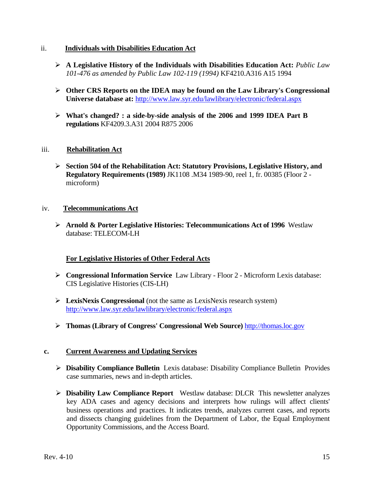#### ii. **Individuals with Disabilities Education Act**

- **A Legislative History of the Individuals with Disabilities Education Act:** *Public Law 101-476 as amended by Public Law 102-119 (1994)* KF4210.A316 A15 1994
- **Other CRS Reports on the IDEA may be found on the Law Library's Congressional Universe database at:** http://www.law.syr.edu/lawlibrary/electronic/federal.aspx
- **What's changed? : a side-by-side analysis of the 2006 and 1999 IDEA Part B regulations** KF4209.3.A31 2004 R875 2006

## iii. **Rehabilitation Act**

 **Section 504 of the Rehabilitation Act: Statutory Provisions, Legislative History, and Regulatory Requirements (1989)** JK1108 .M34 1989-90, reel 1, fr. 00385 (Floor 2 microform)

#### iv. **Telecommunications Act**

 **Arnold & Porter Legislative Histories: Telecommunications Act of 1996** Westlaw database: TELECOM-LH

## **For Legislative Histories of Other Federal Acts**

- **Congressional Information Service** Law Library Floor 2 Microform Lexis database: CIS Legislative Histories (CIS-LH)
- **LexisNexis Congressional** (not the same as LexisNexis research system) http://www.law.syr.edu/lawlibrary/electronic/federal.aspx
- **Thomas (Library of Congress' Congressional Web Source)** http://thomas.loc.gov

#### **c. Current Awareness and Updating Services**

- **Disability Compliance Bulletin** Lexis database: Disability Compliance Bulletin Provides case summaries, news and in-depth articles.
- **Disability Law Compliance Report** Westlaw database: DLCR This newsletter analyzes key ADA cases and agency decisions and interprets how rulings will affect clients' business operations and practices. It indicates trends, analyzes current cases, and reports and dissects changing guidelines from the Department of Labor, the Equal Employment Opportunity Commissions, and the Access Board.